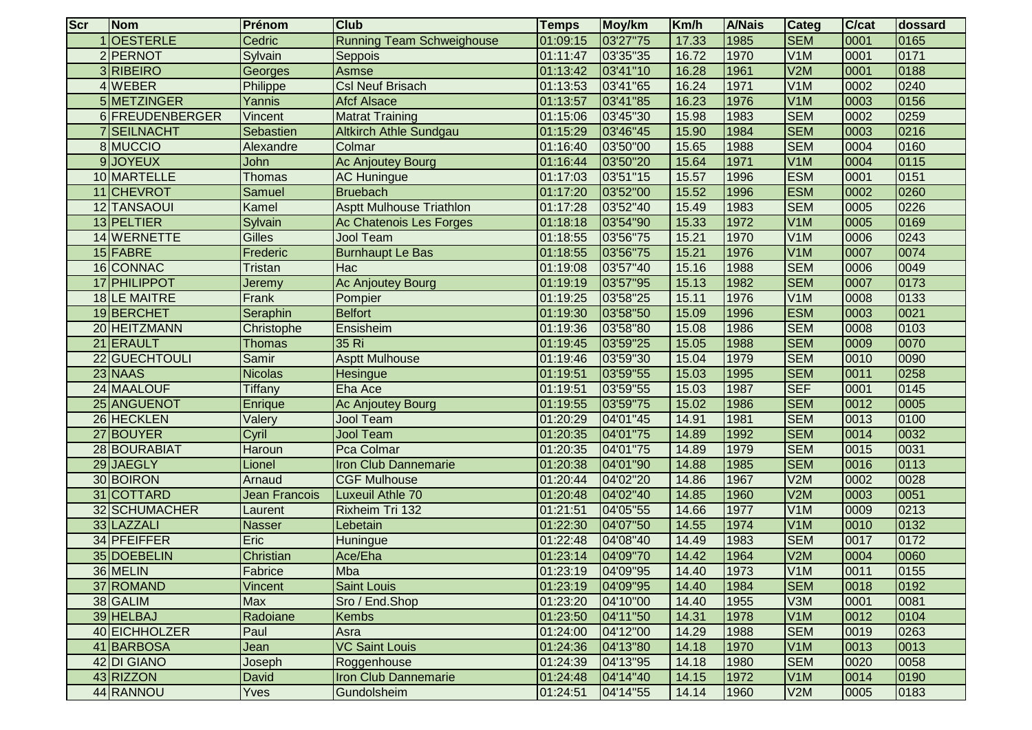| <b>Scr</b> | Nom               | Prénom         | <b>Club</b>                      | <b>Temps</b> | Moy/km   | Km/h  | <b>A/Nais</b> | Categ            | C/cat | dossard |
|------------|-------------------|----------------|----------------------------------|--------------|----------|-------|---------------|------------------|-------|---------|
|            | <b>OESTERLE</b>   | Cedric         | <b>Running Team Schweighouse</b> | 01:09:15     | 03'27"75 | 17.33 | 1985          | <b>SEM</b>       | 0001  | 0165    |
|            | 2 PERNOT          | Sylvain        | Seppois                          | 01:11:47     | 03'35"35 | 16.72 | 1970          | V1M              | 0001  | 0171    |
|            | 3RIBEIRO          | Georges        | Asmse                            | 01:13:42     | 03'41"10 | 16.28 | 1961          | V2M              | 0001  | 0188    |
|            | <b>WEBER</b>      | Philippe       | <b>Csl Neuf Brisach</b>          | 01:13:53     | 03'41"65 | 16.24 | 1971          | V1M              | 0002  | 0240    |
|            | 5 METZINGER       | Yannis         | <b>Afcf Alsace</b>               | 01:13:57     | 03'41"85 | 16.23 | 1976          | V1M              | 0003  | 0156    |
|            | 6 FREUDENBERGER   | Vincent        | <b>Matrat Training</b>           | 01:15:06     | 03'45"30 | 15.98 | 1983          | <b>SEM</b>       | 0002  | 0259    |
|            | <b>SEILNACHT</b>  | Sebastien      | <b>Altkirch Athle Sundgau</b>    | 01:15:29     | 03'46"45 | 15.90 | 1984          | <b>SEM</b>       | 0003  | 0216    |
|            | 8 MUCCIO          | Alexandre      | Colmar                           | 01:16:40     | 03'50"00 | 15.65 | 1988          | <b>SEM</b>       | 0004  | 0160    |
|            | 9JOYEUX           | John           | Ac Anjoutey Bourg                | 01:16:44     | 03'50"20 | 15.64 | 1971          | V <sub>1</sub> M | 0004  | 0115    |
|            | 10 MARTELLE       | <b>Thomas</b>  | <b>AC Huningue</b>               | 01:17:03     | 03'51"15 | 15.57 | 1996          | <b>ESM</b>       | 0001  | 0151    |
|            | 11 CHEVROT        | <b>Samuel</b>  | <b>Bruebach</b>                  | 01:17:20     | 03'52"00 | 15.52 | 1996          | <b>ESM</b>       | 0002  | 0260    |
|            | 12 TANSAOUI       | Kamel          | <b>Asptt Mulhouse Triathlon</b>  | 01:17:28     | 03'52"40 | 15.49 | 1983          | <b>SEM</b>       | 0005  | 0226    |
|            | 13 PELTIER        | Sylvain        | Ac Chatenois Les Forges          | 01:18:18     | 03'54"90 | 15.33 | 1972          | V1M              | 0005  | 0169    |
|            | 14 WERNETTE       | <b>Gilles</b>  | <b>Jool Team</b>                 | 01:18:55     | 03'56"75 | 15.21 | 1970          | V1M              | 0006  | 0243    |
|            | 15 FABRE          | Frederic       | <b>Burnhaupt Le Bas</b>          | 01:18:55     | 03'56"75 | 15.21 | 1976          | V <sub>1</sub> M | 0007  | 0074    |
|            | 16 CONNAC         | <b>Tristan</b> | Hac                              | 01:19:08     | 03'57"40 | 15.16 | 1988          | <b>SEM</b>       | 0006  | 0049    |
|            | 17 PHILIPPOT      | Jeremy         | Ac Anjoutey Bourg                | 01:19:19     | 03'57"95 | 15.13 | 1982          | <b>SEM</b>       | 0007  | 0173    |
|            | 18LE MAITRE       | Frank          | Pompier                          | 01:19:25     | 03'58"25 | 15.11 | 1976          | V1M              | 0008  | 0133    |
|            | 19BERCHET         | Seraphin       | <b>Belfort</b>                   | 01:19:30     | 03'58"50 | 15.09 | 1996          | <b>ESM</b>       | 0003  | 0021    |
|            | 20 HEITZMANN      | Christophe     | Ensisheim                        | 01:19:36     | 03'58"80 | 15.08 | 1986          | <b>SEM</b>       | 0008  | 0103    |
|            | 21 ERAULT         | Thomas         | 35 Ri                            | 01:19:45     | 03'59"25 | 15.05 | 1988          | <b>SEM</b>       | 0009  | 0070    |
|            | <b>GUECHTOULI</b> | Samir          | <b>Asptt Mulhouse</b>            | 01:19:46     | 03'59"30 | 15.04 | 1979          | <b>SEM</b>       | 0010  | 0090    |
|            | 23 NAAS           | <b>Nicolas</b> | Hesingue                         | 01:19:51     | 03'59"55 | 15.03 | 1995          | <b>SEM</b>       | 0011  | 0258    |
|            | 24 MAALOUF        | Tiffany        | Eha Ace                          | 01:19:51     | 03'59"55 | 15.03 | 1987          | <b>SEF</b>       | 0001  | 0145    |
|            | 25 ANGUENOT       | Enrique        | Ac Anjoutey Bourg                | 01:19:55     | 03'59"75 | 15.02 | 1986          | <b>SEM</b>       | 0012  | 0005    |
|            | 26 HECKLEN        | Valery         | <b>Jool Team</b>                 | 01:20:29     | 04'01"45 | 14.91 | 1981          | <b>SEM</b>       | 0013  | 0100    |
|            | 27 BOUYER         | Cyril          | <b>Jool Team</b>                 | 01:20:35     | 04'01"75 | 14.89 | 1992          | <b>SEM</b>       | 0014  | 0032    |
|            | 28 BOURABIAT      | Haroun         | Pca Colmar                       | 01:20:35     | 04'01"75 | 14.89 | 1979          | <b>SEM</b>       | 0015  | 0031    |
|            | 29JAEGLY          | Lionel         | <b>Iron Club Dannemarie</b>      | 01:20:38     | 04'01"90 | 14.88 | 1985          | <b>SEM</b>       | 0016  | 0113    |
|            | 30 BOIRON         | Arnaud         | <b>CGF Mulhouse</b>              | 01:20:44     | 04'02"20 | 14.86 | 1967          | V2M              | 0002  | 0028    |
|            | 31 COTTARD        | Jean Francois  | Luxeuil Athle 70                 | 01:20:48     | 04'02"40 | 14.85 | 1960          | V2M              | 0003  | 0051    |
|            | 32 SCHUMACHER     | Laurent        | Rixheim Tri 132                  | 01:21:51     | 04'05"55 | 14.66 | 1977          | V1M              | 0009  | 0213    |
|            | 33 LAZZALI        | Nasser         | Lebetain                         | 01:22:30     | 04'07"50 | 14.55 | 1974          | V <sub>1</sub> M | 0010  | 0132    |
|            | 34 PFEIFFER       | Eric           | Huningue                         | 01:22:48     | 04'08"40 | 14.49 | 1983          | <b>SEM</b>       | 0017  | 0172    |
|            | 35 DOEBELIN       | Christian      | Ace/Eha                          | 01:23:14     | 04'09"70 | 14.42 | 1964          | V2M              | 0004  | 0060    |
|            | 36 MELIN          | Fabrice        | Mba                              | 01:23:19     | 04'09"95 | 14.40 | 1973          | V <sub>1</sub> M | 10011 | 10155   |
|            | 37 ROMAND         | Vincent        | <b>Saint Louis</b>               | 01:23:19     | 04'09"95 | 14.40 | 1984          | <b>SEM</b>       | 0018  | 0192    |
|            | 38 GALIM          | Max            | Sro / End.Shop                   | 01:23:20     | 04'10"00 | 14.40 | 1955          | V3M              | 0001  | 0081    |
|            | 39 HELBAJ         | Radoiane       | <b>Kembs</b>                     | 01:23:50     | 04'11"50 | 14.31 | 1978          | V1M              | 0012  | 0104    |
|            | 40 EICHHOLZER     | Paul           | Asra                             | 01:24:00     | 04'12"00 | 14.29 | 1988          | <b>SEM</b>       | 0019  | 0263    |
|            | 41 BARBOSA        | Jean           | <b>VC Saint Louis</b>            | 01:24:36     | 04'13"80 | 14.18 | 1970          | V <sub>1</sub> M | 0013  | 0013    |
|            | 42 DI GIANO       | Joseph         | Roggenhouse                      | 01:24:39     | 04'13"95 | 14.18 | 1980          | <b>SEM</b>       | 0020  | 0058    |
|            | 43 RIZZON         | David          | Iron Club Dannemarie             | 01:24:48     | 04'14"40 | 14.15 | 1972          | V1M              | 0014  | 0190    |
|            | 44 RANNOU         | Yves           | Gundolsheim                      | 01:24:51     | 04'14"55 | 14.14 | 1960          | V2M              | 0005  | 0183    |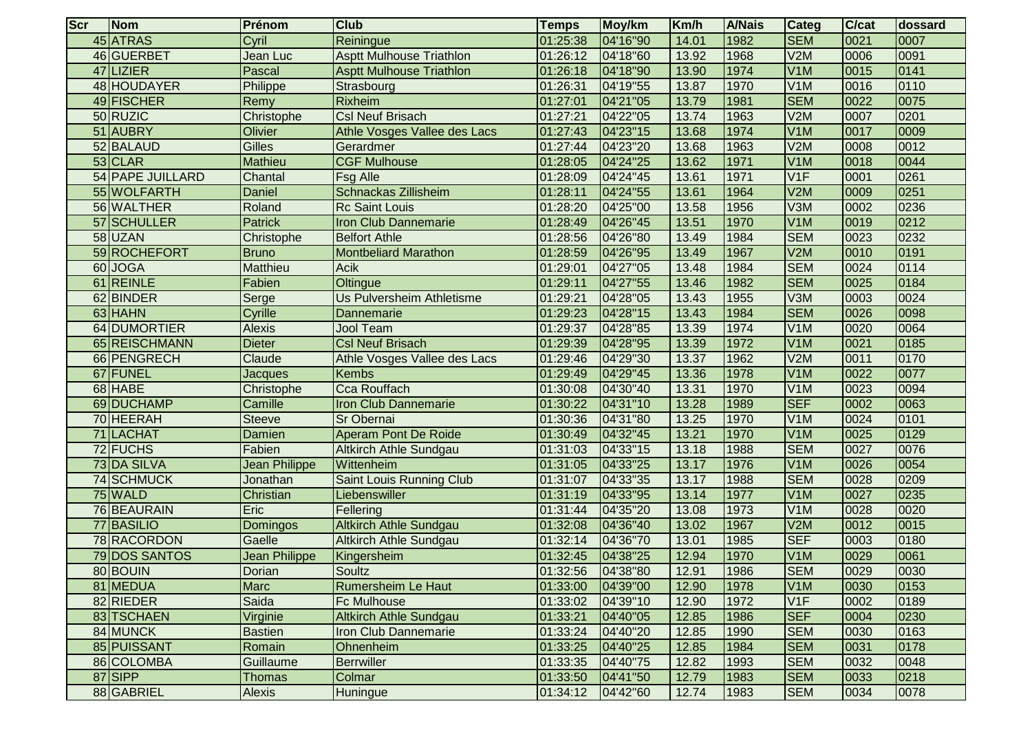| <b>Scr</b> | Nom                     | Prénom         | <b>Club</b>                     | <b>Temps</b> | Moy/km   | Km/h  | <b>A/Nais</b> | <b>Categ</b>     | <b>C/cat</b> | <b>dossard</b> |
|------------|-------------------------|----------------|---------------------------------|--------------|----------|-------|---------------|------------------|--------------|----------------|
|            | 45 ATRAS                | Cyril          | Reiningue                       | 01:25:38     | 04'16"90 | 14.01 | 1982          | <b>SEM</b>       | 0021         | 0007           |
|            | 46 GUERBET              | Jean Luc       | <b>Asptt Mulhouse Triathlon</b> | 01:26:12     | 04'18"60 | 13.92 | 1968          | V2M              | 0006         | 0091           |
|            | 47 LIZIER               | Pascal         | <b>Asptt Mulhouse Triathlon</b> | 01:26:18     | 04'18"90 | 13.90 | 1974          | V <sub>1</sub> M | 0015         | 0141           |
|            | 48 HOUDAYER             | Philippe       | Strasbourg                      | 01:26:31     | 04'19"55 | 13.87 | 1970          | V <sub>1</sub> M | 0016         | 0110           |
|            | 49 FISCHER              | Remy           | Rixheim                         | 01:27:01     | 04'21"05 | 13.79 | 1981          | <b>SEM</b>       | 0022         | 0075           |
|            | 50 RUZIC                | Christophe     | <b>Csl Neuf Brisach</b>         | 01:27:21     | 04'22"05 | 13.74 | 1963          | V2M              | 0007         | 0201           |
|            | 51 AUBRY                | Olivier        | Athle Vosges Vallee des Lacs    | 01:27:43     | 04'23"15 | 13.68 | 1974          | V <sub>1</sub> M | 0017         | 0009           |
|            | 52 BALAUD               | <b>Gilles</b>  | Gerardmer                       | 01:27:44     | 04'23"20 | 13.68 | 1963          | V2M              | 0008         | 0012           |
|            | 53 CLAR                 | Mathieu        | <b>CGF Mulhouse</b>             | 01:28:05     | 04'24"25 | 13.62 | 1971          | V <sub>1</sub> M | 0018         | 0044           |
|            | <b>54 PAPE JUILLARD</b> | Chantal        | <b>Fsg Alle</b>                 | 01:28:09     | 04'24"45 | 13.61 | 1971          | V <sub>1</sub> F | 0001         | 0261           |
|            | 55 WOLFARTH             | Daniel         | Schnackas Zillisheim            | 01:28:11     | 04'24"55 | 13.61 | 1964          | V2M              | 0009         | 0251           |
|            | 56 WALTHER              | Roland         | <b>Rc Saint Louis</b>           | 01:28:20     | 04'25"00 | 13.58 | 1956          | V3M              | 0002         | 0236           |
|            | 57 SCHULLER             | <b>Patrick</b> | <b>Iron Club Dannemarie</b>     | 01:28:49     | 04'26"45 | 13.51 | 1970          | V <sub>1</sub> M | 0019         | 0212           |
|            | 58 UZAN                 | Christophe     | <b>Belfort Athle</b>            | 01:28:56     | 04'26"80 | 13.49 | 1984          | <b>SEM</b>       | 0023         | 0232           |
|            | 59 ROCHEFORT            | <b>Bruno</b>   | <b>Montbeliard Marathon</b>     | 01:28:59     | 04'26"95 | 13.49 | 1967          | V2M              | 0010         | 0191           |
|            | 60 JOGA                 | Matthieu       | Acik                            | 01:29:01     | 04'27"05 | 13.48 | 1984          | <b>SEM</b>       | 0024         | 0114           |
|            | 61 REINLE               | Fabien         | Oltingue                        | 01:29:11     | 04'27"55 | 13.46 | 1982          | <b>SEM</b>       | 0025         | 0184           |
|            | 62 BINDER               | Serge          | Us Pulversheim Athletisme       | 01:29:21     | 04'28"05 | 13.43 | 1955          | V3M              | 0003         | 0024           |
|            | 63 HAHN                 | Cyrille        | <b>Dannemarie</b>               | 01:29:23     | 04'28"15 | 13.43 | 1984          | <b>SEM</b>       | 0026         | 0098           |
|            | 64 DUMORTIER            | <b>Alexis</b>  | <b>Jool Team</b>                | 01:29:37     | 04'28"85 | 13.39 | 1974          | V <sub>1</sub> M | 0020         | 0064           |
|            | 65 REISCHMANN           | Dieter         | <b>Csl Neuf Brisach</b>         | 01:29:39     | 04'28"95 | 13.39 | 1972          | V <sub>1</sub> M | 0021         | 0185           |
|            | 66 PENGRECH             | Claude         | Athle Vosges Vallee des Lacs    | 01:29:46     | 04'29"30 | 13.37 | 1962          | V2M              | 0011         | 0170           |
| 67         | FUNEL                   | Jacques        | <b>Kembs</b>                    | 01:29:49     | 04'29"45 | 13.36 | 1978          | V <sub>1</sub> M | 0022         | 0077           |
|            | 68 HABE                 | Christophe     | Cca Rouffach                    | 01:30:08     | 04'30"40 | 13.31 | 1970          | V1M              | 0023         | 0094           |
|            | 69 DUCHAMP              | Camille        | Iron Club Dannemarie            | 01:30:22     | 04'31"10 | 13.28 | 1989          | <b>SEF</b>       | 0002         | 0063           |
|            | 70 HEERAH               | <b>Steeve</b>  | Sr Obernai                      | 01:30:36     | 04'31"80 | 13.25 | 1970          | V <sub>1</sub> M | 0024         | 0101           |
|            | 71 LACHAT               | Damien         | Aperam Pont De Roide            | 01:30:49     | 04'32"45 | 13.21 | 1970          | V <sub>1</sub> M | 0025         | 0129           |
|            | 72 FUCHS                | Fabien         | <b>Altkirch Athle Sundgau</b>   | 01:31:03     | 04'33"15 | 13.18 | 1988          | <b>SEM</b>       | 0027         | 0076           |
|            | 73 DA SILVA             | Jean Philippe  | Wittenheim                      | 01:31:05     | 04'33"25 | 13.17 | 1976          | V <sub>1</sub> M | 0026         | 0054           |
|            | 74 SCHMUCK              | Jonathan       | <b>Saint Louis Running Club</b> | 01:31:07     | 04'33"35 | 13.17 | 1988          | <b>SEM</b>       | 0028         | 0209           |
|            | 75 WALD                 | Christian      | Liebenswiller                   | 01:31:19     | 04'33"95 | 13.14 | 1977          | V <sub>1</sub> M | 0027         | 0235           |
|            | 76 BEAURAIN             | Eric           | Fellering                       | 01:31:44     | 04'35"20 | 13.08 | 1973          | V <sub>1</sub> M | 0028         | 0020           |
|            | 77 BASILIO              | Domingos       | <b>Altkirch Athle Sundgau</b>   | 01:32:08     | 04'36"40 | 13.02 | 1967          | V2M              | 0012         | 0015           |
|            | 78 RACORDON             | Gaelle         | Altkirch Athle Sundgau          | 01:32:14     | 04'36"70 | 13.01 | 1985          | <b>SEF</b>       | 0003         | 0180           |
|            | 79 DOS SANTOS           | Jean Philippe  | Kingersheim                     | 01:32:45     | 04'38"25 | 12.94 | 1970          | V <sub>1</sub> M | 0029         | 0061           |
|            | 80 BOUIN                | Dorian         | Soultz                          | 01:32:56     | 04'38"80 | 12.91 | 1986          | <b>I</b> SEM     | 10029        | 0030           |
|            | 81 MEDUA                | <b>Marc</b>    | <b>Rumersheim Le Haut</b>       | 01:33:00     | 04'39"00 | 12.90 | 1978          | V <sub>1</sub> M | 0030         | 0153           |
|            | 82 RIEDER               | Saida          | <b>Fc Mulhouse</b>              | 01:33:02     | 04'39"10 | 12.90 | 1972          | V1F              | 0002         | 0189           |
|            | 83 TSCHAEN              | Virginie       | <b>Altkirch Athle Sundgau</b>   | 01:33:21     | 04'40"05 | 12.85 | 1986          | <b>SEF</b>       | 0004         | 0230           |
|            | 84 MUNCK                | <b>Bastien</b> | Iron Club Dannemarie            | 01:33:24     | 04'40"20 | 12.85 | 1990          | <b>SEM</b>       | 0030         | 0163           |
|            | 85 PUISSANT             | Romain         | Ohnenheim                       | 01:33:25     | 04'40"25 | 12.85 | 1984          | <b>SEM</b>       | 0031         | 0178           |
|            | 86 COLOMBA              | Guillaume      | <b>Berrwiller</b>               | 01:33:35     | 04'40"75 | 12.82 | 1993          | <b>SEM</b>       | 0032         | 0048           |
|            | 87 SIPP                 | <b>Thomas</b>  | Colmar                          | 01:33:50     | 04'41"50 | 12.79 | 1983          | <b>SEM</b>       | 0033         | 0218           |
|            | 88 GABRIEL              | <b>Alexis</b>  | Huningue                        | 01:34:12     | 04'42"60 | 12.74 | 1983          | <b>SEM</b>       | 0034         | 0078           |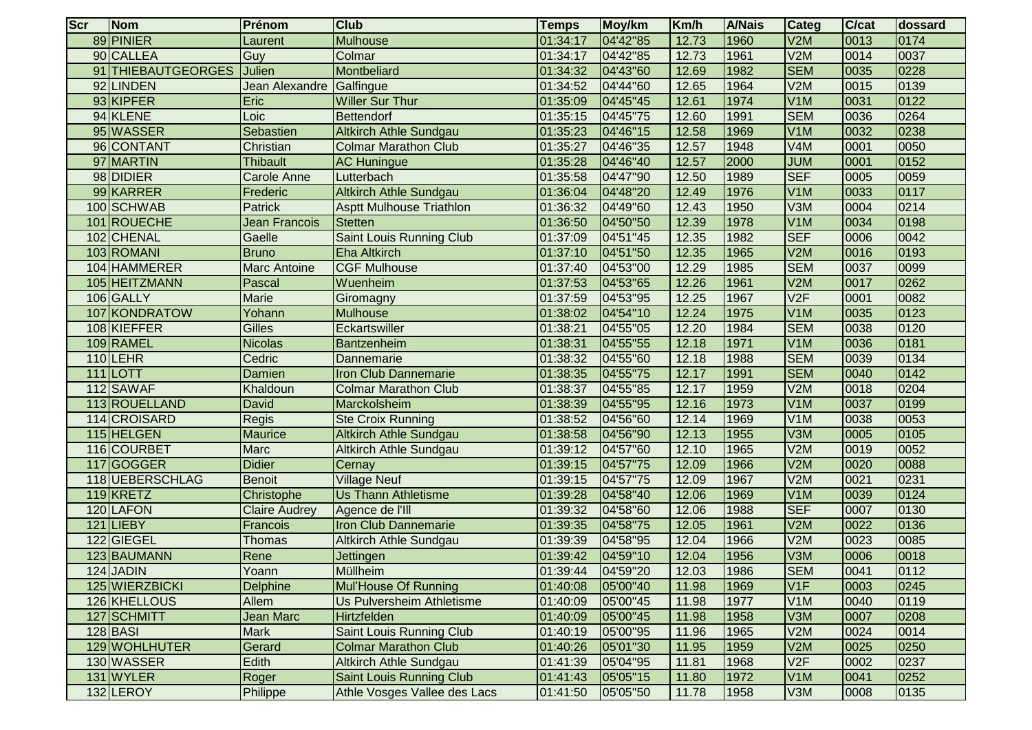| <b>Scr</b> | Nom                | Prénom               | <b>Club</b>                     | <b>Temps</b> | Moy/km   | Km/h  | <b>A/Nais</b> | Categ            | C/cat | dossard |
|------------|--------------------|----------------------|---------------------------------|--------------|----------|-------|---------------|------------------|-------|---------|
|            | 89 PINIER          | Laurent              | <b>Mulhouse</b>                 | 01:34:17     | 04'42"85 | 12.73 | 1960          | V2M              | 0013  | 0174    |
|            | 90 CALLEA          | Guy                  | Colmar                          | 01:34:17     | 04'42"85 | 12.73 | 1961          | V2M              | 0014  | 0037    |
|            | 91 THIEBAUTGEORGES | Julien               | Montbeliard                     | 01:34:32     | 04'43"60 | 12.69 | 1982          | <b>SEM</b>       | 0035  | 0228    |
|            | 92 LINDEN          | Jean Alexandre       | Galfingue                       | 01:34:52     | 04'44"60 | 12.65 | 1964          | V2M              | 0015  | 0139    |
|            | 93 KIPFER          | Eric                 | <b>Willer Sur Thur</b>          | 01:35:09     | 04'45"45 | 12.61 | 1974          | V1M              | 0031  | 0122    |
|            | 94 KLENE           | Loic                 | Bettendorf                      | 01:35:15     | 04'45"75 | 12.60 | 1991          | <b>SEM</b>       | 0036  | 0264    |
|            | 95 WASSER          | Sebastien            | <b>Altkirch Athle Sundgau</b>   | 01:35:23     | 04'46"15 | 12.58 | 1969          | V1M              | 0032  | 0238    |
|            | 96 CONTANT         | Christian            | <b>Colmar Marathon Club</b>     | 01:35:27     | 04'46"35 | 12.57 | 1948          | V4M              | 0001  | 0050    |
|            | 97 MARTIN          | <b>Thibault</b>      | <b>AC Huningue</b>              | 01:35:28     | 04'46"40 | 12.57 | 2000          | <b>JUM</b>       | 0001  | 0152    |
|            | 98 DIDIER          | <b>Carole Anne</b>   | Lutterbach                      | 01:35:58     | 04'47"90 | 12.50 | 1989          | <b>SEF</b>       | 0005  | 0059    |
|            | 99 KARRER          | Frederic             | <b>Altkirch Athle Sundgau</b>   | 01:36:04     | 04'48"20 | 12.49 | 1976          | V <sub>1</sub> M | 0033  | 0117    |
|            | 100 SCHWAB         | <b>Patrick</b>       | <b>Asptt Mulhouse Triathlon</b> | 01:36:32     | 04'49"60 | 12.43 | 1950          | V3M              | 0004  | 0214    |
|            | 101 ROUECHE        | Jean Francois        | <b>Stetten</b>                  | 01:36:50     | 04'50"50 | 12.39 | 1978          | V <sub>1</sub> M | 0034  | 0198    |
|            | 102 CHENAL         | Gaelle               | Saint Louis Running Club        | 01:37:09     | 04'51"45 | 12.35 | 1982          | <b>SEF</b>       | 0006  | 0042    |
|            | 103 ROMANI         | <b>Bruno</b>         | <b>Eha Altkirch</b>             | 01:37:10     | 04'51"50 | 12.35 | 1965          | V2M              | 0016  | 0193    |
|            | 104 HAMMERER       | <b>Marc Antoine</b>  | <b>CGF Mulhouse</b>             | 01:37:40     | 04'53"00 | 12.29 | 1985          | <b>SEM</b>       | 0037  | 0099    |
|            | 105 HEITZMANN      | Pascal               | Wuenheim                        | 01:37:53     | 04'53"65 | 12.26 | 1961          | V2M              | 0017  | 0262    |
|            | 106 GALLY          | Marie                | Giromagny                       | 01:37:59     | 04'53"95 | 12.25 | 1967          | V2F              | 0001  | 0082    |
| 107        | KONDRATOW          | Yohann               | <b>Mulhouse</b>                 | 01:38:02     | 04'54"10 | 12.24 | 1975          | V <sub>1</sub> M | 0035  | 0123    |
|            | 108 KIEFFER        | <b>Gilles</b>        | Eckartswiller                   | 01:38:21     | 04'55"05 | 12.20 | 1984          | <b>SEM</b>       | 0038  | 0120    |
|            | 109 RAMEL          | <b>Nicolas</b>       | <b>Bantzenheim</b>              | 01:38:31     | 04'55"55 | 12.18 | 1971          | V <sub>1</sub> M | 0036  | 0181    |
|            | $110$ LEHR         | Cedric               | Dannemarie                      | 01:38:32     | 04'55"60 | 12.18 | 1988          | <b>SEM</b>       | 0039  | 0134    |
| 111        | <b>LOTT</b>        | Damien               | Iron Club Dannemarie            | 01:38:35     | 04'55"75 | 12.17 | 1991          | <b>SEM</b>       | 0040  | 0142    |
|            | 112 SAWAF          | Khaldoun             | <b>Colmar Marathon Club</b>     | 01:38:37     | 04'55"85 | 12.17 | 1959          | V2M              | 0018  | 0204    |
|            | 113ROUELLAND       | David                | Marckolsheim                    | 01:38:39     | 04'55"95 | 12.16 | 1973          | V <sub>1</sub> M | 0037  | 0199    |
|            | 114 CROISARD       | Regis                | <b>Ste Croix Running</b>        | 01:38:52     | 04'56"60 | 12.14 | 1969          | V1M              | 0038  | 0053    |
|            | 115 HELGEN         | Maurice              | <b>Altkirch Athle Sundgau</b>   | 01:38:58     | 04'56"90 | 12.13 | 1955          | V3M              | 0005  | 0105    |
|            | 116 COURBET        | Marc                 | <b>Altkirch Athle Sundgau</b>   | 01:39:12     | 04'57"60 | 12.10 | 1965          | V2M              | 0019  | 0052    |
|            | 117 GOGGER         | <b>Didier</b>        | Cernay                          | 01:39:15     | 04'57"75 | 12.09 | 1966          | V2M              | 0020  | 0088    |
|            | 118 UEBERSCHLAG    | <b>Benoit</b>        | <b>Village Neuf</b>             | 01:39:15     | 04'57"75 | 12.09 | 1967          | V2M              | 0021  | 0231    |
|            | 119KRETZ           | Christophe           | <b>Us Thann Athletisme</b>      | 01:39:28     | 04'58"40 | 12.06 | 1969          | V1M              | 0039  | 0124    |
|            | 120 LAFON          | <b>Claire Audrey</b> | Agence de l'Ill                 | 01:39:32     | 04'58"60 | 12.06 | 1988          | <b>SEF</b>       | 0007  | 0130    |
| 121        | <b>LIEBY</b>       | Francois             | Iron Club Dannemarie            | 01:39:35     | 04'58"75 | 12.05 | 1961          | V2M              | 0022  | 0136    |
| 122        | GIEGEL             | <b>Thomas</b>        | <b>Altkirch Athle Sundgau</b>   | 01:39:39     | 04'58"95 | 12.04 | 1966          | V2M              | 0023  | 0085    |
|            | 123 BAUMANN        | Rene                 | <b>Jettingen</b>                | 01:39:42     | 04'59"10 | 12.04 | 1956          | V3M              | 0006  | 0018    |
|            | 124 JADIN          | Yoann                | Müllheim                        | 01:39:44     | 04'59"20 | 12.03 | 1986          | <b>SEM</b>       | 10041 | 10112   |
|            | 125 WIERZBICKI     | <b>Delphine</b>      | Mul'House Of Running            | 01:40:08     | 05'00"40 | 11.98 | 1969          | V1F              | 0003  | 0245    |
|            | 126 KHELLOUS       | Allem                | Us Pulversheim Athletisme       | 01:40:09     | 05'00"45 | 11.98 | 1977          | V1M              | 0040  | 0119    |
|            | 127 SCHMITT        | <b>Jean Marc</b>     | <b>Hirtzfelden</b>              | 01:40:09     | 05'00"45 | 11.98 | 1958          | V3M              | 0007  | 0208    |
|            | $128$ BASI         | <b>Mark</b>          | <b>Saint Louis Running Club</b> | 01:40:19     | 05'00"95 | 11.96 | 1965          | V2M              | 0024  | 0014    |
|            | 129 WOHLHUTER      | Gerard               | <b>Colmar Marathon Club</b>     | 01:40:26     | 05'01"30 | 11.95 | 1959          | V2M              | 0025  | 0250    |
|            | 130 WASSER         | Edith                | <b>Altkirch Athle Sundgau</b>   | 01:41:39     | 05'04"95 | 11.81 | 1968          | V2F              | 0002  | 0237    |
|            | 131 WYLER          | Roger                | <b>Saint Louis Running Club</b> | 01:41:43     | 05'05"15 | 11.80 | 1972          | V1M              | 0041  | 0252    |
|            | 132 LEROY          | Philippe             | Athle Vosges Vallee des Lacs    | 01:41:50     | 05'05"50 | 11.78 | 1958          | V3M              | 0008  | 0135    |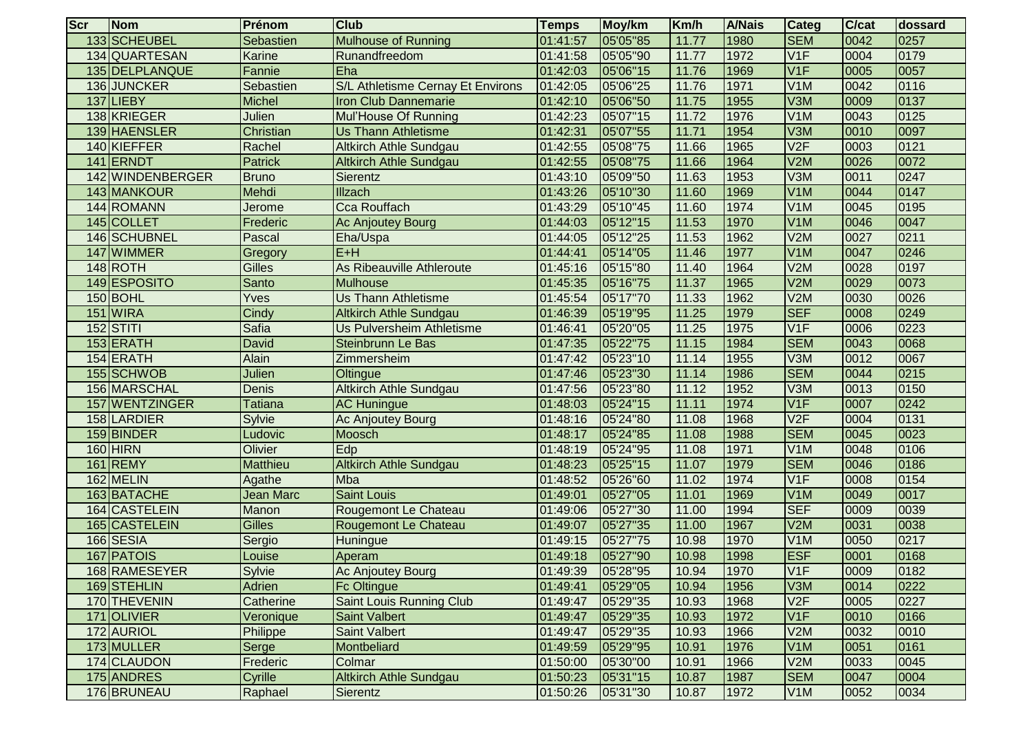| <b>Scr</b> | Nom               | Prénom          | <b>Club</b>                       | <b>Temps</b> | Moy/km   | Km/h  | <b>A/Nais</b> | Categ            | C/cat | dossard |
|------------|-------------------|-----------------|-----------------------------------|--------------|----------|-------|---------------|------------------|-------|---------|
|            | 133 SCHEUBEL      | Sebastien       | <b>Mulhouse of Running</b>        | 01:41:57     | 05'05"85 | 11.77 | 1980          | <b>SEM</b>       | 0042  | 0257    |
|            | 134 QUARTESAN     | Karine          | Runandfreedom                     | 01:41:58     | 05'05"90 | 11.77 | 1972          | V1F              | 0004  | 0179    |
|            | 135 DELPLANQUE    | Fannie          | Eha                               | 01:42:03     | 05'06"15 | 11.76 | 1969          | V1F              | 0005  | 0057    |
|            | 136 JUNCKER       | Sebastien       | S/L Athletisme Cernay Et Environs | 01:42:05     | 05'06"25 | 11.76 | 1971          | V <sub>1</sub> M | 0042  | 0116    |
| 137        | LIEBY             | <b>Michel</b>   | <b>Iron Club Dannemarie</b>       | 01:42:10     | 05'06"50 | 11.75 | 1955          | V3M              | 0009  | 0137    |
|            | 138 KRIEGER       | Julien          | Mul'House Of Running              | 01:42:23     | 05'07"15 | 11.72 | 1976          | V1M              | 0043  | 0125    |
|            | 139 HAENSLER      | Christian       | <b>Us Thann Athletisme</b>        | 01:42:31     | 05'07"55 | 11.71 | 1954          | V3M              | 0010  | 0097    |
|            | 140 KIEFFER       | Rachel          | <b>Altkirch Athle Sundgau</b>     | 01:42:55     | 05'08"75 | 11.66 | 1965          | V2F              | 0003  | 0121    |
|            | 141 ERNDT         | <b>Patrick</b>  | <b>Altkirch Athle Sundgau</b>     | 01:42:55     | 05'08"75 | 11.66 | 1964          | V2M              | 0026  | 0072    |
|            | 142 WINDENBERGER  | <b>Bruno</b>    | Sierentz                          | 01:43:10     | 05'09"50 | 11.63 | 1953          | V3M              | 0011  | 0247    |
|            | 143 MANKOUR       | Mehdi           | Illzach                           | 01:43:26     | 05'10"30 | 11.60 | 1969          | V1M              | 0044  | 0147    |
|            | 144 ROMANN        | Jerome          | <b>Cca Rouffach</b>               | 01:43:29     | 05'10"45 | 11.60 | 1974          | V <sub>1</sub> M | 0045  | 0195    |
|            | 145 COLLET        | Frederic        | Ac Anjoutey Bourg                 | 01:44:03     | 05'12"15 | 11.53 | 1970          | V <sub>1</sub> M | 0046  | 0047    |
|            | 146 SCHUBNEL      | Pascal          | Eha/Uspa                          | 01:44:05     | 05'12"25 | 11.53 | 1962          | V2M              | 0027  | 0211    |
| 147        | <b>WIMMER</b>     | Gregory         | $E+H$                             | 01:44:41     | 05'14"05 | 11.46 | 1977          | V <sub>1</sub> M | 0047  | 0246    |
|            | 148ROTH           | <b>Gilles</b>   | <b>As Ribeauville Athleroute</b>  | 01:45:16     | 05'15"80 | 11.40 | 1964          | V2M              | 0028  | 0197    |
|            | 149 ESPOSITO      | Santo           | <b>Mulhouse</b>                   | 01:45:35     | 05'16"75 | 11.37 | 1965          | V2M              | 0029  | 0073    |
|            | 150 BOHL          | Yves            | <b>Us Thann Athletisme</b>        | 01:45:54     | 05'17"70 | 11.33 | 1962          | V2M              | 0030  | 0026    |
| 151        | <b>WIRA</b>       | Cindy           | <b>Altkirch Athle Sundgau</b>     | 01:46:39     | 05'19"95 | 11.25 | 1979          | <b>SEF</b>       | 0008  | 0249    |
| 152        | <b>STITI</b>      | <b>Safia</b>    | Us Pulversheim Athletisme         | 01:46:41     | 05'20"05 | 11.25 | 1975          | V1F              | 0006  | 0223    |
|            | 153 ERATH         | David           | <b>Steinbrunn Le Bas</b>          | 01:47:35     | 05'22"75 | 11.15 | 1984          | <b>SEM</b>       | 0043  | 0068    |
|            | 154 ERATH         | Alain           | Zimmersheim                       | 01:47:42     | 05'23"10 | 11.14 | 1955          | V3M              | 0012  | 0067    |
|            | 155 SCHWOB        | Julien          | Oltingue                          | 01:47:46     | 05'23"30 | 11.14 | 1986          | <b>SEM</b>       | 0044  | 0215    |
|            | 156 MARSCHAL      | Denis           | Altkirch Athle Sundgau            | 01:47:56     | 05'23"80 | 11.12 | 1952          | V3M              | 0013  | 0150    |
| 157        | <b>WENTZINGER</b> | Tatiana         | <b>AC Huningue</b>                | 01:48:03     | 05'24"15 | 11.11 | 1974          | V1F              | 0007  | 0242    |
|            | 158 LARDIER       | Sylvie          | Ac Anjoutey Bourg                 | 01:48:16     | 05'24"80 | 11.08 | 1968          | V2F              | 0004  | 0131    |
|            | 159 BINDER        | Ludovic         | <b>Moosch</b>                     | 01:48:17     | 05'24"85 | 11.08 | 1988          | <b>SEM</b>       | 0045  | 0023    |
|            | 160 HIRN          | Olivier         | Edp                               | 01:48:19     | 05'24"95 | 11.08 | 1971          | V <sub>1</sub> M | 0048  | 0106    |
| 161        | <b>REMY</b>       | <b>Matthieu</b> | <b>Altkirch Athle Sundgau</b>     | 01:48:23     | 05'25"15 | 11.07 | 1979          | <b>SEM</b>       | 0046  | 0186    |
|            | 162 MELIN         | Agathe          | Mba                               | 01:48:52     | 05'26"60 | 11.02 | 1974          | V1F              | 0008  | 0154    |
|            | 163 BATACHE       | Jean Marc       | Saint Louis                       | 01:49:01     | 05'27"05 | 11.01 | 1969          | V <sub>1</sub> M | 0049  | 0017    |
|            | 164 CASTELEIN     | Manon           | Rougemont Le Chateau              | 01:49:06     | 05'27"30 | 11.00 | 1994          | <b>SEF</b>       | 0009  | 0039    |
|            | 165 CASTELEIN     | <b>Gilles</b>   | Rougemont Le Chateau              | 01:49:07     | 05'27"35 | 11.00 | 1967          | V2M              | 0031  | 0038    |
|            | 166 SESIA         | Sergio          | <b>Huningue</b>                   | 01:49:15     | 05'27"75 | 10.98 | 1970          | V <sub>1</sub> M | 0050  | 0217    |
|            | 167 PATOIS        | Louise          | Aperam                            | 01:49:18     | 05'27"90 | 10.98 | 1998          | <b>ESF</b>       | 0001  | 0168    |
|            | 168 RAMESEYER     | Sylvie          | Ac Anjoutey Bourg                 | 01:49:39     | 05'28"95 | 10.94 | 1970          | V <sub>1</sub> F | 0009  | 0182    |
|            | 169 STEHLIN       | Adrien          | <b>Fc Oltingue</b>                | 01:49:41     | 05'29"05 | 10.94 | 1956          | V3M              | 0014  | 0222    |
|            | 170 THEVENIN      | Catherine       | Saint Louis Running Club          | 01:49:47     | 05'29"35 | 10.93 | 1968          | V2F              | 0005  | 0227    |
|            | 171 OLIVIER       | Veronique       | Saint Valbert                     | 01:49:47     | 05'29"35 | 10.93 | 1972          | V <sub>1F</sub>  | 0010  | 0166    |
|            | 172 AURIOL        | Philippe        | <b>Saint Valbert</b>              | 01:49:47     | 05'29"35 | 10.93 | 1966          | V2M              | 0032  | 0010    |
|            | 173 MULLER        | Serge           | Montbeliard                       | 01:49:59     | 05'29"95 | 10.91 | 1976          | V <sub>1</sub> M | 0051  | 0161    |
|            | 174 CLAUDON       | Frederic        | Colmar                            | 01:50:00     | 05'30"00 | 10.91 | 1966          | V2M              | 0033  | 0045    |
|            | 175 ANDRES        | Cyrille         | <b>Altkirch Athle Sundgau</b>     | 01:50:23     | 05'31"15 | 10.87 | 1987          | <b>SEM</b>       | 0047  | 0004    |
|            | 176 BRUNEAU       | Raphael         | Sierentz                          | 01:50:26     | 05'31"30 | 10.87 | 1972          | V <sub>1</sub> M | 0052  | 0034    |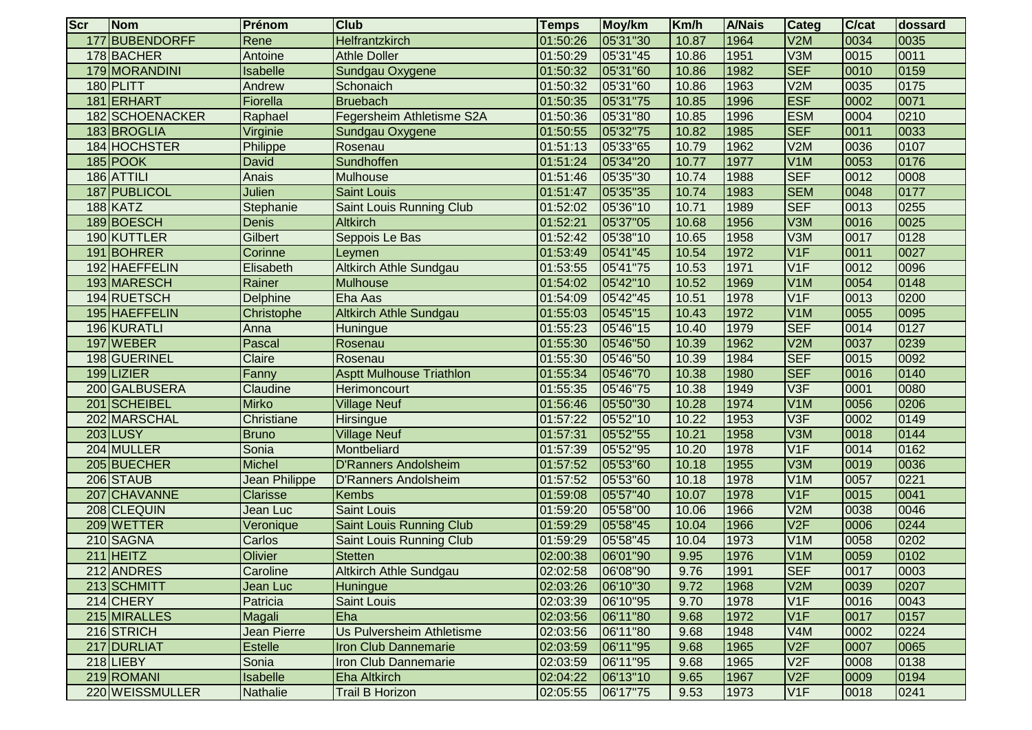| <b>Scr</b> | Nom                | Prénom             | <b>Club</b>                     | <b>Temps</b> | Moy/km   | Km/h  | <b>A/Nais</b> | Categ            | C/cat | dossard |
|------------|--------------------|--------------------|---------------------------------|--------------|----------|-------|---------------|------------------|-------|---------|
| 177        | <b>BUBENDORFF</b>  | Rene               | Helfrantzkirch                  | 01:50:26     | 05'31"30 | 10.87 | 1964          | V2M              | 0034  | 0035    |
|            | 178 BACHER         | Antoine            | <b>Athle Doller</b>             | 01:50:29     | 05'31"45 | 10.86 | 1951          | V3M              | 0015  | 0011    |
|            | 179 MORANDINI      | Isabelle           | Sundgau Oxygene                 | 01:50:32     | 05'31"60 | 10.86 | 1982          | <b>SEF</b>       | 0010  | 0159    |
|            | 180 PLITT          | Andrew             | Schonaich                       | 01:50:32     | 05'31"60 | 10.86 | 1963          | V2M              | 0035  | 0175    |
| 181        | <b>ERHART</b>      | Fiorella           | <b>Bruebach</b>                 | 01:50:35     | 05'31"75 | 10.85 | 1996          | <b>ESF</b>       | 0002  | 0071    |
| 182        | <b>SCHOENACKER</b> | Raphael            | Fegersheim Athletisme S2A       | 01:50:36     | 05'31"80 | 10.85 | 1996          | <b>ESM</b>       | 0004  | 0210    |
|            | 183BROGLIA         | Virginie           | Sundgau Oxygene                 | 01:50:55     | 05'32"75 | 10.82 | 1985          | <b>SEF</b>       | 0011  | 0033    |
|            | 184 HOCHSTER       | Philippe           | Rosenau                         | 01:51:13     | 05'33"65 | 10.79 | 1962          | V2M              | 0036  | 0107    |
|            | 185 POOK           | David              | Sundhoffen                      | 01:51:24     | 05'34"20 | 10.77 | 1977          | V <sub>1</sub> M | 0053  | 0176    |
|            | 186 ATTILI         | Anais              | <b>Mulhouse</b>                 | 01:51:46     | 05'35"30 | 10.74 | 1988          | <b>SEF</b>       | 0012  | 0008    |
| 187        | <b>PUBLICOL</b>    | Julien             | <b>Saint Louis</b>              | 01:51:47     | 05'35"35 | 10.74 | 1983          | <b>SEM</b>       | 0048  | 0177    |
|            | 188 KATZ           | Stephanie          | Saint Louis Running Club        | 01:52:02     | 05'36"10 | 10.71 | 1989          | <b>SEF</b>       | 0013  | 0255    |
|            | 189BOESCH          | Denis              | <b>Altkirch</b>                 | 01:52:21     | 05'37"05 | 10.68 | 1956          | V3M              | 0016  | 0025    |
|            | 190 KUTTLER        | Gilbert            | Seppois Le Bas                  | 01:52:42     | 05'38"10 | 10.65 | 1958          | V3M              | 0017  | 0128    |
|            | 191 BOHRER         | Corinne            | Leymen                          | 01:53:49     | 05'41"45 | 10.54 | 1972          | V1F              | 0011  | 0027    |
|            | 192 HAEFFELIN      | Elisabeth          | <b>Altkirch Athle Sundgau</b>   | 01:53:55     | 05'41"75 | 10.53 | 1971          | V1F              | 0012  | 0096    |
|            | 193 MARESCH        | Rainer             | <b>Mulhouse</b>                 | 01:54:02     | 05'42"10 | 10.52 | 1969          | V <sub>1</sub> M | 0054  | 0148    |
|            | 194 RUETSCH        | <b>Delphine</b>    | Eha Aas                         | 01:54:09     | 05'42"45 | 10.51 | 1978          | V1F              | 0013  | 0200    |
|            | 195 HAEFFELIN      | Christophe         | <b>Altkirch Athle Sundgau</b>   | 01:55:03     | 05'45"15 | 10.43 | 1972          | V <sub>1</sub> M | 0055  | 0095    |
|            | 196 KURATLI        | Anna               | Huningue                        | 01:55:23     | 05'46"15 | 10.40 | 1979          | <b>SEF</b>       | 0014  | 0127    |
|            | 197 WEBER          | Pascal             | Rosenau                         | 01:55:30     | 05'46"50 | 10.39 | 1962          | V2M              | 0037  | 0239    |
|            | 198 GUERINEL       | Claire             | Rosenau                         | 01:55:30     | 05'46"50 | 10.39 | 1984          | <b>SEF</b>       | 0015  | 0092    |
|            | 199LIZIER          | Fanny              | <b>Asptt Mulhouse Triathlon</b> | 01:55:34     | 05'46"70 | 10.38 | 1980          | <b>SEF</b>       | 0016  | 0140    |
|            | 200 GALBUSERA      | Claudine           | Herimoncourt                    | 01:55:35     | 05'46"75 | 10.38 | 1949          | V3F              | 0001  | 0080    |
| 201        | <b>SCHEIBEL</b>    | <b>Mirko</b>       | <b>Village Neuf</b>             | 01:56:46     | 05'50"30 | 10.28 | 1974          | V <sub>1</sub> M | 0056  | 0206    |
|            | 202 MARSCHAL       | Christiane         | Hirsingue                       | 01:57:22     | 05'52"10 | 10.22 | 1953          | V3F              | 0002  | 0149    |
|            | <b>203 LUSY</b>    | <b>Bruno</b>       | <b>Village Neuf</b>             | 01:57:31     | 05'52"55 | 10.21 | 1958          | V3M              | 0018  | 0144    |
|            | 204 MULLER         | Sonia              | Montbeliard                     | 01:57:39     | 05'52"95 | 10.20 | 1978          | V1F              | 0014  | 0162    |
|            | 205 BUECHER        | <b>Michel</b>      | <b>D'Ranners Andolsheim</b>     | 01:57:52     | 05'53"60 | 10.18 | 1955          | V3M              | 0019  | 0036    |
|            | 206 STAUB          | Jean Philippe      | <b>D'Ranners Andolsheim</b>     | 01:57:52     | 05'53"60 | 10.18 | 1978          | V <sub>1</sub> M | 0057  | 0221    |
| 207        | <b>CHAVANNE</b>    | <b>Clarisse</b>    | <b>Kembs</b>                    | 01:59:08     | 05'57"40 | 10.07 | 1978          | V1F              | 0015  | 0041    |
|            | 208 CLEQUIN        | Jean Luc           | <b>Saint Louis</b>              | 01:59:20     | 05'58"00 | 10.06 | 1966          | V2M              | 0038  | 0046    |
|            | 209 WETTER         | Veronique          | <b>Saint Louis Running Club</b> | 01:59:29     | 05'58"45 | 10.04 | 1966          | V2F              | 0006  | 0244    |
|            | 210 SAGNA          | Carlos             | <b>Saint Louis Running Club</b> | 01:59:29     | 05'58"45 | 10.04 | 1973          | V <sub>1</sub> M | 0058  | 0202    |
|            | $211$ HEITZ        | Olivier            | <b>Stetten</b>                  | 02:00:38     | 06'01"90 | 9.95  | 1976          | V <sub>1</sub> M | 0059  | 0102    |
|            | 212 ANDRES         | Caroline           | <b>Altkirch Athle Sundgau</b>   | 02:02:58     | 06'08"90 | 9.76  | 1991          | SEF              | 10017 | 10003   |
|            | 213 SCHMITT        | Jean Luc           | Huningue                        | 02:03:26     | 06'10"30 | 9.72  | 1968          | V2M              | 0039  | 0207    |
|            | 214 CHERY          | Patricia           | <b>Saint Louis</b>              | 02:03:39     | 06'10"95 | 9.70  | 1978          | V1F              | 0016  | 0043    |
|            | 215 MIRALLES       | Magali             | Eha                             | 02:03:56     | 06'11"80 | 9.68  | 1972          | V1F              | 0017  | 0157    |
|            | 216 STRICH         | <b>Jean Pierre</b> | Us Pulversheim Athletisme       | 02:03:56     | 06'11"80 | 9.68  | 1948          | V <sub>4</sub> M | 0002  | 0224    |
|            | 217 DURLIAT        | <b>Estelle</b>     | <b>Iron Club Dannemarie</b>     | 02:03:59     | 06'11"95 | 9.68  | 1965          | V2F              | 0007  | 0065    |
|            | 218 LIEBY          | Sonia              | Iron Club Dannemarie            | 02:03:59     | 06'11"95 | 9.68  | 1965          | V2F              | 0008  | 0138    |
|            | 219 ROMANI         | Isabelle           | <b>Eha Altkirch</b>             | 02:04:22     | 06'13"10 | 9.65  | 1967          | V2F              | 0009  | 0194    |
|            | 220 WEISSMULLER    | Nathalie           | <b>Trail B Horizon</b>          | 02:05:55     | 06'17"75 | 9.53  | 1973          | V <sub>1</sub> F | 0018  | 0241    |